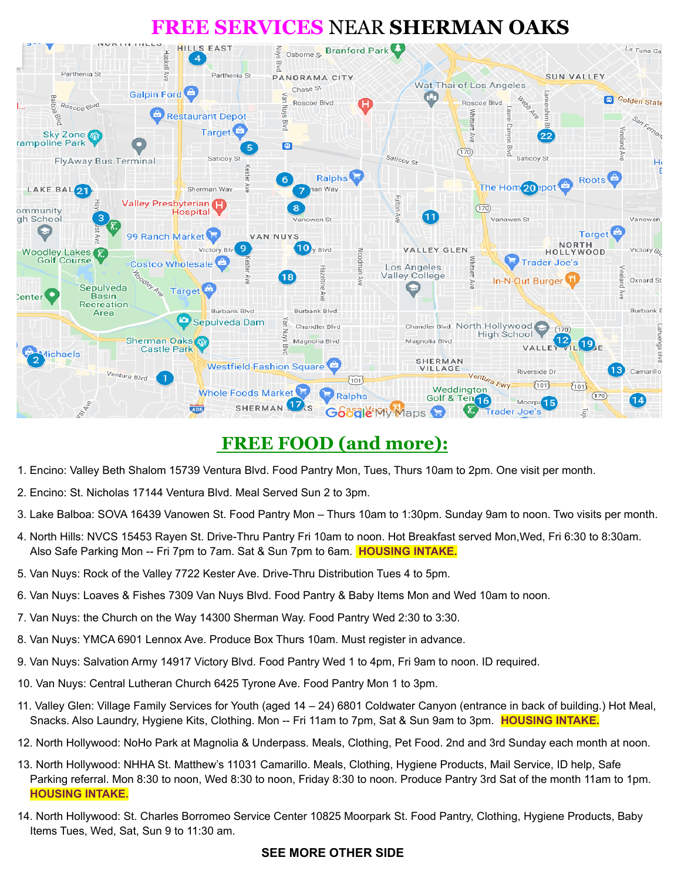# **FREE SERVICES** NEAR **SHERMAN OAKS**



# **FREE FOOD (and more):**

- 1. Encino: Valley Beth Shalom 15739 Ventura Blvd. Food Pantry Mon, Tues, Thurs 10am to 2pm. One visit per month.
- 2. Encino: St. Nicholas 17144 Ventura Blvd. Meal Served Sun 2 to 3pm.
- 3. Lake Balboa: SOVA 16439 Vanowen St. Food Pantry Mon Thurs 10am to 1:30pm. Sunday 9am to noon. Two visits per month.
- 4. North Hills: NVCS 15453 Rayen St. Drive-Thru Pantry Fri 10am to noon. Hot Breakfast served Mon,Wed, Fri 6:30 to 8:30am. Also Safe Parking Mon -- Fri 7pm to 7am. Sat & Sun 7pm to 6am. **HOUSING INTAKE.**
- 5. Van Nuys: Rock of the Valley 7722 Kester Ave. Drive-Thru Distribution Tues 4 to 5pm.
- 6. Van Nuys: Loaves & Fishes 7309 Van Nuys Blvd. Food Pantry & Baby Items Mon and Wed 10am to noon.
- 7. Van Nuys: the Church on the Way 14300 Sherman Way. Food Pantry Wed 2:30 to 3:30.
- 8. Van Nuys: YMCA 6901 Lennox Ave. Produce Box Thurs 10am. Must register in advance.
- 9. Van Nuys: Salvation Army 14917 Victory Blvd. Food Pantry Wed 1 to 4pm, Fri 9am to noon. ID required.
- 10. Van Nuys: Central Lutheran Church 6425 Tyrone Ave. Food Pantry Mon 1 to 3pm.
- 11. Valley Glen: Village Family Services for Youth (aged 14 24) 6801 Coldwater Canyon (entrance in back of building.) Hot Meal, Snacks. Also Laundry, Hygiene Kits, Clothing. Mon -- Fri 11am to 7pm, Sat & Sun 9am to 3pm. **HOUSING INTAKE.**
- 12. North Hollywood: NoHo Park at Magnolia & Underpass. Meals, Clothing, Pet Food. 2nd and 3rd Sunday each month at noon.
- 13. North Hollywood: NHHA St. Matthew's 11031 Camarillo. Meals, Clothing, Hygiene Products, Mail Service, ID help, Safe Parking referral. Mon 8:30 to noon, Wed 8:30 to noon, Friday 8:30 to noon. Produce Pantry 3rd Sat of the month 11am to 1pm. **HOUSING INTAKE.**
- 14. North Hollywood: St. Charles Borromeo Service Center 10825 Moorpark St. Food Pantry, Clothing, Hygiene Products, Baby Items Tues, Wed, Sat, Sun 9 to 11:30 am.

#### **SEE MORE OTHER SIDE**